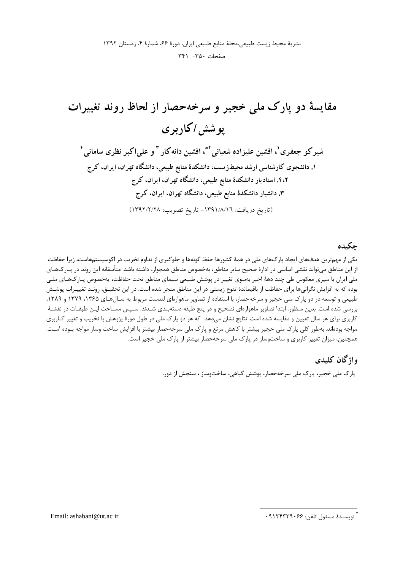صفحات ٣٥٠- ٣٣١

### چکیده

یکی از مهمترین هدفهای ایجاد پارکهای ملی در همهٔ کشورها حفظ گونهها و جلوگیری از تداوم تخریب در اکوسیستمهاست، زیرا حفاظت از این مناطق میتواند نقشی اساسی در ادارهٔ صحیح سایر مناطق، بهخصوص مناطق همجوار، داشته باشد. متأسفانه این روند در پـارکـهـای ملی ایران با سیری معکوس طی چند دههٔ اخیر بهسوی تغییر در پوشش طبیعی سیمای مناطق تحت حفاظت، بهخصوص پـارکـهـای ملـی بوده که به افزایش نگرانیها برای حفاظت از باقیماندهٔ تنوع زیستی در این مناطق منجر شده است. در این تحقیـق، رونـد تغییـرات پوشـش طبیعی و توسعه در دو پارک ملی خجیر و سرخهحصار، با استفاده از تصاویر ماهوارهای لندست مربوط به سـالهـای ۱۳۶۵، ۱۳۷۹ و ۱۳۸۹، بررسی شده است. بدین منظور، ابتدا تصاویر ماهوارهای تصحیح و در پنج طبقه دستهبندی شـدند. سـیس مسـاحت ایـن طبقـات در نقشـهٔ کاربری برای هر سال تعیین و مقایسه شده است. نتایج نشان میدهد که هر دو پارک ملی در طول دورهٔ پژوهش با تخریب و تغییر کـاربری مواجه بودهاند. بهطور کلی پارک ملی خجیر بیشتر با کاهش مرتع و پارک ملی سرخهحصار بیشتر با افزایش ساخت وساز مواجه بـوده اسـت. همچنین، میزان تغییر کاربری و ساختوساز در پارک ملی سرخهحصار بیشتر از پارک ملی خجیر است.

# واژگان كليدي

پارک ملی خجیر، پارک ملی سرخهحصار، پوشش گیاهی، ساختوساز ، سنجش از دور.

<sup>ُ</sup> نويسندة مسئول تلفن: ۰۹۱۲۴۳۳۹۰۶۶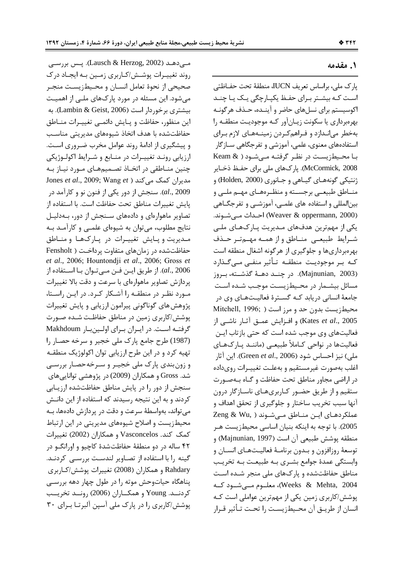#### ۱. مقدمه

پارک ملی، براساس تعریف IUCN، منطقهٔ تحت حفـاظتی است کـه بیشـتر بـرای حفـظ یکپـارچگی یـک یـا چنـد اکوسیستم برای نسلهای حاضر و آینـده، حـذف هرگونـه بهرهبرداری یا سکونت زیـانآور کـه موجودیـت منطقـه را بهخطر مىانـدازد و فـراهمكردن زمينـههـاي لازم بـراي استفادههای معنوی، علمی، آموزشی و تفرجگاهی ســازگار با محیطزیست در نظر گرفته می شود ( Keam & McCormick, 2008). پارکھای ملی برای حفـظ ذخـایر ژنتیکی گونههـای گیـاهی و جـانوری (Holden, 2000) و منــاطق طبيعــي برجســته و منظــرههــاي مهــم ملــي و بين|لمللي و استفاده هاي علمــي، آموزشــي و تفرجگــاهي (Weaver & oppermann, 2000) احداث مے شوند. یکی از مهمترین هدفهای مـدیریت پـارکـهـای ملـی شرايط طبيعي مناطق واز همه مهم ترحذف بهرهبرداریها و جلوگیری از هرگونه اشغال منطقه است کـه بـر موجوديـت منطقـه تـأثير منفـى مـىگـذارد (Majnunian, 2003). در چنــد دهــهٔ گذشــته، بــروز مسائل بیشـمار در محـیطزیسـت موجـب شـده اسـت .<br>جامعهٔ انسانی دریابد کـه گسـترهٔ فعالیـتهـای وی در محیطزیست بدون حد و مرز است ( Mitchell, 1996; 6/Kates et al., 2005) و افـزايش عمــق آثـار ناشــي از فعالیتهای وی موجب شده است که حتی بازتاب ایـن فعالیتها در نواحی کـاملأ طبیعـی (ماننـد یـار کـهـای ملي) نيز احساس شود (Green *et al*., 2006). اين آثار اغلب بهصورت غيرمستقيم و بهعلت تغييـرات روىداده در اراضی مجاور مناطق تحت حفاظت و گـاه بـهصـورت ستقیم و از طریق حضـور کـاربریهـای ناسـازگار درون آنها سبب تخریب ساختار و جلوگیری از تحقق اهداف و عملكردهـاي ايـن منـاطق مـى شـوند ( ,Zeng & Wu 2005). با توجه به اینکه بنیان اساسی محیطزیست هـر منطقه پوشش طبيعي آن است (Majnunian, 1997) و توسعهٔ روزافزون و بـدون برنامـهٔ فعالیـتهـای انسـان و وابستگی عمدهٔ جوامع بشـری بـه طبیعـت بـه تخریـب مناطق حفاظتشده و پارکهای ملی منجر شـده اسـت .<br>Weeks & Mehta, 2004)، معلــوم مـــ شــود كــه یوشش/کاربری زمین یکی از مهمترین عواملی است کـه انسان از طريــق آن محـيطزيسـت را تحـت تـأثير قـرار

مےدھـد (Lausch & Herzog, 2002). پـس بررسـي روند تغییـرات پوشـش/كـاربري زمـين بـه ايجـاد درك صحيحي از نحوهٔ تعامل انسـان و محـيطزيسـت منجـر میشود. این مسئله در مورد پارکهای ملـی از اهمیـت بیشتری برخوردار است (Lambin & Geist, 2006). به این منظور، حفاظت و پـایش دائمــی تغییـرات منــاطق حفاظتشده با هدف اتخاذ شیوههای مدیریتی مناسب و پیشگیری از ادامهٔ روند عوامل مخرب ضـروری اسـت. ارزیابی رونـد تغییـرات در منـابع و شـرایط اکولـوژیکی چنین منــاطقی در اتخــاذ تصــمیمهــای مــورد نیــاز بــه Jones et al., 2009; Wang et ) مدیران کمک می کند al., 2009). سنجش از دور یکی از فنون نو و کارآمد در يايش تغييرات مناطق تحت حفاظت است. با استفاده از تصاویر ماهوارهای و دادههای سـنجش از دور، بـهدلیـل نتایج مطلوب، می توان به شیوهای علمبی و کارآمـد بـه مدیریت و پایش تغییرات در پارکها و مناطق حفاظتشده در زمان های متفاوت پرداخت ( Fensholt et al., 2006; Hountondji et al., 2006; Gross et al., 2006). از طريق ايـن فـن مـيتـوان بـا اسـتفاده از پردازش تصاویر ماهوارهای با سرعت و دقت بالا تغییرات مورد نظـر در منطقــه را آشـكار كـرد. در ايــن راســتا، پژوهش های گوناگونی پیرامون ارزیابی و پایش تغییرات یوشش/کاربری زمین در مناطق حفاظت شـده صـورت گرفتـه اسـت. در ايـران بـراى اولـينبـار Makhdoum (1987) طرح جامع پارک ملی خجیر و سرخه حصار را تهیه کرد و در این طرح ارزیابی توان اکولوژیک منطقـه و زون بندی پارک ملی خجیـر و سـرخهحصـار بررسـی شد. Gross و همکاران (2009) در پژوهشی توانایی های سنجش از دور را در پایش مناطق حفاظتشده ارزیـابی کردند و به این نتیجه رسیدند که استفاده از این دانـش می تواند، بهواسطهٔ سرعت و دقت در پردازش دادهها، بـه محیطزیست و اصلاح شیوههای مدیریتی در این ارتباط كمك كند. Vasconcelos و همكاران (2002) تغييرات ۴۲ ساله در دو منطقهٔ حفاظتشدهٔ کاچیو و اورانگــو در گینه را با استفاده از تصاویر لندست بررسی کردنـد. Rahdary و همكاران (2008) تغييرات يوشش/كـاربري پناهگاه حیاتوحش موته را در طول چهار دهه بررسی كردنــد. Young و همكــاران (2006) رونــد تخريــب یوشش/کاربری را در یارک ملی آسین آلبرتا برای ۳۰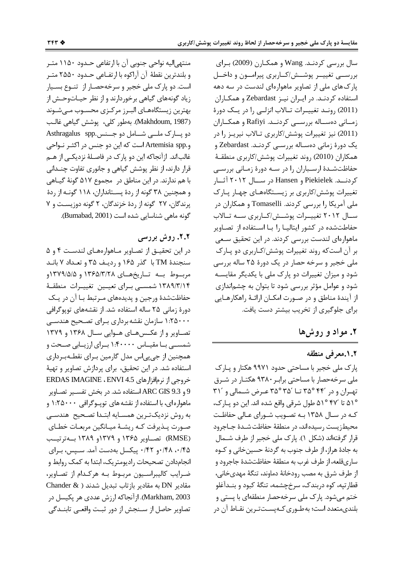سال بررسی کردنـد. Wang و همکـارن (2009) بـرای بررســي تغييــر پوشــش/كــاربرى پيرامــون و داخــل پارک های ملی از تصاویر ماهوارهای لندست در سه دهه استفاده کردنـد. در ايـران نيـز Zebardast و همكـاران (2011) رونـد تغییـرات تـالاب انزلـی را در یـک دورهٔ زمــانی دەســالە بررســی کردنــد. Rafiyi و همکــاران (2011) نیز تغییرات یوشش/کاربری تـالاب نیریـز را در یک دورهٔ زمانی دهسـاله بررسـی کردنـد. Zebardast و همكاران (2010) روند تغييرات يوشش/كاربرى منطقـهٔ حفاظتشـدهٔ ارسـباران را در سـه دورهٔ زمـانی بررسـی کردنــد. Piekielek و Hansen در ســال ۲۰۱۲ آثــار تغییرات پوشش/کاربری بر زیستگاههای چهار پارک ملي آمريكا ,ا بررسي كردند. Tomaselli و همكاران در سال ٢٠١٢ تغييـرات پوشـش/كـاربرى سـه تـالاب حفاطتشده در کشور ایتالیـا را بـا اسـتفاده از تصـاویر ماهوارهای لندست بررسی کردند. در این تحقیق سعی بر آن است که روند تغییرات پوشش/کاربری دو پارک ملي خجير و سرخه حصار در يک دورهٔ ۲۵ ساله بررسي شود و میزان تغییرات دو پارک ملی با یکدیگر مقایسـه شود و عوامل مؤثر بررسی شود تا بتوان به چشماندازی از آیندهٔ مناطق و در صورت امکـان ارائـهٔ راهکارهـایی برای جلوگیری از تخریب بیشتر دست یافت.

٢. مواد و روش ها

٠.٢.معرفي منطقه

پارک ملی خجیر با مساحتی حدود ۹۹۷۱ هکتار و پـارک ملی سرخهحصار با مساحتی برابر ۹۳۸۰ هکتار در شرق تهران و در ۴۴' ۳۵°۳۵ تــا ۳۵°۳۵ عـرض شـمالي و ۳۱' ۵۱° تا ۵۱° ۵۱° طول شرقی واقع شده اند. این دو یارک، کـه در سـال ۱۳۵۸ بـه تصـویب شـورای عـالی حفاظـت محيطزيست رسيده اند، در منطقهٔ حفاظت شـدهٔ جـاجرود قرار گرفتهاند (شكل ١). پارک ملي خجير از طرف شـمال به جادهٔ هراز، از طرف جنوب به گردنهٔ حسینخانی و کـوه ساريقلعه، از طرف غرب به منطقهٔ حفاظتشدهٔ جاجرود و از طرف شرق به مصب رودخانهٔ دماوند، تنگهٔ مهدیخانی، قطارتپه، کوه دربندک، سرخچشمه، تنگهٔ کبود و بنـدآغلو ختم میشود. پارک ملی سرخهحصار منطقهای با پستی و بلندی متعدد است؛ به طـوری کـهیسـتترین نقـاط آن در

منتهی|لیه نواحی جنوبی آن با ارتفاعی حـدود ۱۱۵۰ متـر و بلندترين نقطهٔ آن آراكوه با ارتفـاعي حـدود ٢۵۵٠ متـر است. دو پارک ملی خجیر و سرخهحصـار از تنـوع بسـیار زیاد گونههای گیاهی برخوردارند و از نظر حیـاتوحـش از بهترین زیستگاههـای البـرز مرکـزی محسـوب مـیشـوند (Makhdoum, 1987). بەطور كلى، پوشش گياهى غالب دو یارک ملے شامل دو جسنس .Asthragalus spp و.Artemisia spp است كه اين دو جنس در اكثـر نـواحى غالباند. ازآنجاکه این دو پارک در فاصلهٔ نزدیکی از هـم قرار دارند، از نظر پوشش گیاهی و جانوری تفاوت چنــدانی با هم ندارند. در این مناطق در مجموع ۵۱۷ گونهٔ گیـاهی و همچنین ۳۸ گونه از ردهٔ پستانداران، ۱۱۸ گونـه از ردهٔ پرندگان، ۲۷ گونه از ردهٔ خزندگان، ۲ گونه دوزیست و ۷ گونه ماهی شناسایی شده است (Bumabad, 2001).

### ٢.٢. روش بررسی

در این تحقیـق از تصـاویر مـاهوارههـای لندسـت ۴ و ۵ سنجندة TM با كذر ۱۶۵ و رديـف ۳۵ و تعـداد ۷ بانـد مربوط بـه تـاریخهـای ۱۳۶۵/۳/۲۸ و ۱۳۷۹/۵/۵/ ۱۳۸۹/۳/۱۴ شمسبی بهرای تعیلین تغییلرات منطقهٔ حفاظتشدهٔ ورجین و پدیدههای مـرتبط بـا آن در یـک دورهٔ زمانی ۲۵ ساله استفاده شد. از نقشههای توپوگرافی ۱:۲۵۰۰۰ سازمان نقشه برداری بـرای تصـحیح هندسـی تصاویر و از عکسهای هـوایی سـال ۱۳۶۸ و ۱۳۷۹ شمســی بــا مقیــاس ۱:۴۰۰۰۰ بــرای ارزیــابی صــحت و همچنین از جیپیاس مدل گارمین بـرای نقطـهبـرداری استفاده شد. در این تحقیق، برای پردازش تصاویر و تهیهٔ خروجي از نرمافزارهاي ERDAS IMAGINE ، ENVI 4.5 9 و ARC GIS 9.3 استفاده شد. در بخش تفسـير تصـاوير ماهواره ای، با استفاده از نقشه های توپوگرافی ۱:۲۵۰۰۰ و به روش نزدیکترین همسایه ابتدا تصحیح هندسی صورت پـذيرفت كـه ريشـهٔ ميـانگين مربعـات خطـاي (RMSE) تصـاویر ۱۳۶۵ و ۱۳۷۹و ۱۳۸۹ بــهترتیــب ۰/۴۸ ،۰/۴۵ و ۰/۴۲ پیکسل بهدست آمد. سیس، برای انجامدادن تصحیحات رادیومتریک، ابتدا به کمک روابط و ضرایب کالیبراسیون مربوط بـه هرکـدام از تصـاویر، مقادیر DN به مقادیر بازتاب تبدیل شدند ( Chander & Markham, 2003). از آنجاكه ارزش عددي هر پكيسل در تصاوير حاصل از سـنجش از دور ثبـت واقعـى تابنـدگى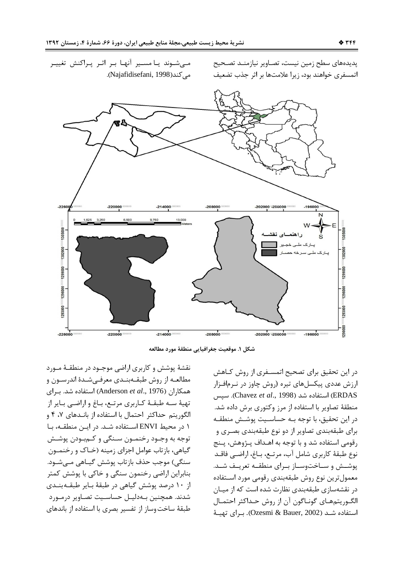

شكل ١. موقعيت جغرافيايي منطقة مورد مطالعه

در این تحقیق برای تصحیح اتمسـفری از روش کـاهش ارزش عددی پیکسلهای تیره (روش چاوز در نـرمافـزار ERDAS) استفاده شد (Chavez *et al.*, 1998). سيس منطقهٔ تصاویر با استفاده از مرز وکتوری برش داده شد. در اين تحقيق، با توجه بـه حساسـيت پوشـش منطقـه برای طبقهبندی تصاویر از دو نوع طبقهبندی بصـری و رقومی استفاده شد و با توجه به اهـداف پـژوهش، پـنج نوع طبقهٔ کاربری شامل آب، مرتـع، بــاغ، اراضــي فاقــد پوشش و سـاختوسـاز بـرای منطقـه تعریـف شـد. معمول ترين نوع روش طبقهبندي رقومي مورد استفاده در نقشهسازی طبقهبندی نظارت شده است که از میـان الگــوريتمهــاي گونــاگون آن از روش حــداكثر احتمــال استفاده شــد (Ozesmi & Bauer, 2002). بـراي تهيــهٔ

نقشهٔ پوشش و کاربری اراضی موجـود در منطقـهٔ مـورد مطالعـه از روش طبقــهبنــدي معرفــىشــدهٔ اندرســون و همکاران (Anderson et al., 1976) استفاده شد. برای تهيهٔ سـه طبقـهٔ كـاربري مرتـع، بـاغ و اراضـي بـاير از الگوریتم حداکثر احتمال با استفاده از بانـدهای ۷، ۴ و ۱ در محیط ENVI استفاده شـد. در ایـن منطقـه، بـا توجه به وجـود رخنمـون سـنگي و كـم.بودن پوشـش گیاهی، بازتاب عوامل اجزای زمینه (خـاک و رخنمـون سنگی) موجب حذف بازتاب پوشش گیـاهی مـیشـود. بنابراین اراضی رخنمون سنگی و خاکی با پوشش کمتر از ۱۰ درصد پوشش گیاهی در طبقهٔ بـایر طبقـهبنـدی شدند. همچنین بـهدلیـل حساسـیت تصـاویر درمـورد طبقهٔ ساخت وساز از تفسیر بصری با استفاده از باندهای

اتمسفری خواهند بود، زیرا علامتها بر اثر جذب تضعیف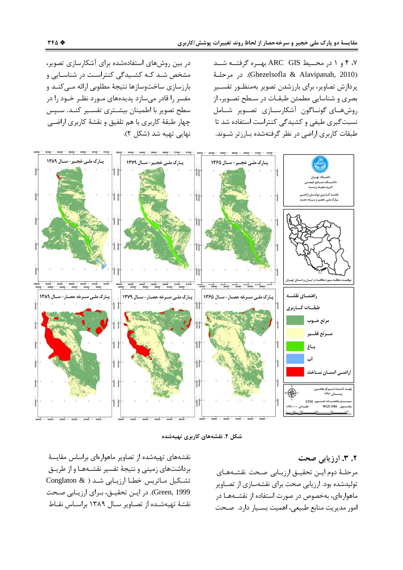۴، ۴ و ۱ در محـيط ARC GIS بهـره گرفتـه شـد (Ghezelsofla & Alavipanah, 2010). در مرحلــهٔ پردازش تصاویر، برای بارزشدن تصویر بهمنظـور تفسـير بصری و شناسایی مطمئن طبقـات در سـطح تصـویر، از روشهـای گونــاگون آشكارســازی تصــویر شــامل نسبت گیری طیفی و کشیدگی کنتراست استفاده شد تا طبقات کاربری اراضی در نظر گرفتهشده بـارزتر شـوند.

در بین روشهای استفادهشده برای آشکارسازی تصویر، مشخص شد که کشیدگی کنتراست در شناسایی و بارزسازی ساختوسازها نتیجهٔ مطلوبی ارائه مـی کنـد و مفسر را قادر میسازد پدیدههای مـورد نظـر خـود را در سطح تصویر با اطمینان بیشـتری تفسـیر کنـد. سـپس چهار طبقهٔ کاربری با هم تلفیق و نقشهٔ کاربری اراضی نهایی تهیه شد (شکل ۲).



شکل ۲. نقشههای کاربری تهیهشده

۲. ۳. ارزیابی صحت مرحلـهٔ دوم ایـن تحقیـق ارزیـابی صـحت نقشـههـای تولیدشده بود. ارزیابی صحت برای نقشهسازی از تصـاویر ماهوارهای، بهخصوص در صورت استفاده از نقشـههـا در امور مدیریت منابع طبیعی، اهمیت بسـیار دارد. صـحت

نقشههای تهیهشده از تصاویر ماهوارهای براساس مقایسهٔ برداشتهای زمینی و نتیجهٔ تفسیر نقشـههـا و از طریـق تشكيل ماتريس خطا ارزيابي شد ( Conglaton & Green, 1999). در ايـن تحقيــق، بـراي ارزيـابي صـحت نقشهٔ تهیهشـده از تصـاویر سـال ۱۳۸۹ براسـاس نقـاط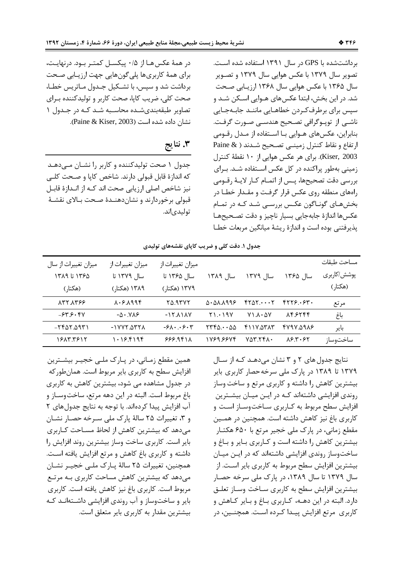برداشتشده با GPS در سال ۱۳۹۱ استفاده شده است. تصویر سال ۱۳۷۹ با عکس هوایی سال ۱۳۷۹ و تصـویر سال ۱۳۶۵ با عکس هوایی سال ۱۳۶۸ ارزیابی صحت شد. در این بخش، ابتدا عکسهای هـوایی اسـکن شـد و سپس برای برطرفکردن خطاهـایی ماننـد جابـهجـایی ناشــي از توپــوگرافي تصـحيح هندســي صــورت گرفــت. بنابراین، عکسهای هـوایی بـا اسـتفاده از مـدل رقـومی Paine & ) ارتفاع و نقاط کنترل زمینے تصحیح شـدند Kiser, 2003). برای هر عکس هوایی از ۱۰ نقطهٔ کنترل زمینی بهطور پراکنده در کل عکس استفاده شـد. بـرای بررسی دقت تصحیحها، پـس از اتمــام کــار لایــهٔ رقــومی راههای منطقه روی عکس قرار گرفت و مقـدار خطـا در بخشهای گونـاگون عکـس بررسـی شـد کـه در تمـام عكسها اندازة جابهجايي بسيار ناچيز و دقت تصحيحهـا يذيرفتني بوده است و اندازهٔ ريشهٔ ميانگين مربعات خطـا

در همهٔ عکس هـا از ۰/۵ پیکسـل کمتـر بـود. درنهایـت، برای همهٔ کاربریها پلیگونهایی جهت ارزیـابی صـحت برداشت شد و سپس، با تشـكيل جـدول مـاتريس خطـا، صحت کلی، ضریب کاپا، صحت کاربر و تولیدکننده بـرای تصاویر طبقهبندی شده محاسبه شد که در جدول ١ نشان داده شده است (Paine & Kiser, 2003).

## ۳. نتايج

جدول ۱ صحت تولیدکننده و کاربر را نشـان مـیدهـد كه اندازهٔ قابل قبولي دارند. شاخص كاپا و صحت كلبي نیز شاخص اصلی ارزیابی صحت اند کـه از انـدازهٔ قابـل قبولي برخوردارند و نشاندهنـدهٔ صـحت بـالاي نقشـهٔ تولىدى اند.

جدول ۱. دقت کلی و ضریب کاپای نقشههای تولیدی

| میزان تغییرات از سال<br>۱۳۸۹ تا ۱۳۸۹<br>(هکتا, ) | میزان تغییرات از<br>سال ۱۳۷۹ تا<br>۱۳۸۹ (هکتار) | میزان تغییرات از<br>سال ۱۳۶۵ تا<br>۱۳۷۹ (هکتار) | سال ۱۳۸۹                                          | سال ۱۳۷۹                             | سال ۱۳۶۵  | مساحت طبقات<br>پوشش/کاربری<br>(هکتا, ) |
|--------------------------------------------------|-------------------------------------------------|-------------------------------------------------|---------------------------------------------------|--------------------------------------|-----------|----------------------------------------|
| 9971.137                                         | $\lambda$ . $\epsilon$ $\lambda$ 996            | ۲۵.۹۳۷۲                                         | $\Delta$ $\cdot$ $\Delta$ $\Lambda$ $\Lambda$ 998 | 57055                                | 4778.83.  | مرتع                                   |
| $-55.5.8V$                                       | $-\Delta$ $\cdot$ . $\vee$ $\wedge$ $\varphi$   | $-15.11AV$                                      | ۲۱.۰۱۹۷                                           | $V \setminus \Lambda \cdot \Delta V$ | 847318    | باغ                                    |
| ۳۶۵۲.۵۹۳۱–                                       | $\lambda$ 775.7777-                             | $-50.000$                                       | ۱۳۴۵.۰۰۵۵                                         | $f \cup Y \wedge Y \wedge Y$         | ۴۷۹۷.۵۹۸۶ | باير                                   |
| ۱۶۸۳.۳۶۱۲                                        | ۱۰۱۶.۴۱۹۴                                       | 888.941 A                                       | 1789.8874                                         | $V\Delta Y. YY\Lambda$               | 88.3.88   | ساختوساز                               |

نتایج جدول های ٢ و ٣ نشان میدهد که از سال ۱۳۷۹ تا ۱۳۸۹ در پارک ملی سرخه حصار کاربری بایر بیشترین کاهش را داشته و کاربری مرتع و ساخت وساز روندی افزایشی داشتهاند کـه در ایـن میـان بیشـترین افزایش سطح مربوط به کـاربری سـاخت وسـاز اسـت و کاربری باغ نیز کاهش داشته است. همچنین در همــین مقطع زمانی، در پارک ملی خجیر مرتع با ۶۵۰ هکتـار بیشترین کاهش را داشته است و کـاربری بـایر و بـاغ و ساخت وساز روندی افزایشی داشتهاند که در ایـن میـان بیشترین افزایش سطح مربوط به کاربری بایر است. از سال ۱۳۷۹ تا سال ۱۳۸۹، در یارک ملی سرخه حصـار بیشترین افزایش سطح به کاربری سـاخت وسـاز تعلـق دارد. البته در این دهـه، کـاربری بـاغ و بـایر کـاهش و كاربري مرتع افزايش پيـدا كـرده اسـت. همچنـين، در

همین مقطع زمـانی، در پـارک ملـی خجیـر بیشـترین افزایش سطح به کاربری بایر مربوط است. همان طور که در جدول مشاهده می شود، بیشترین کاهش به کاربری باغ مربوط است. البته در این دهه مرتع، ساختوساز و آب افزایش پیدا کردهاند. با توجه به نتایج جدول های ۲ و ٣، تغییرات ٢۵ سالهٔ یارک ملی سـرخه حصـار نشـان می دهد که بیشترین کاهش از لحاظ مسـاحت کـاربری بایر است. کاربری ساخت وساز بیشترین روند افزایش را داشته و کاربری باغ کاهش و مرتع افزایش یافته است. همچنین، تغییرات ۲۵ سالهٔ پـارک ملـی خجیـر نشـان می دهد که بیشترین کاهش مساحت کاربری بـه مرتـع مربوط است. کاربری باغ نیز کاهش یافته است. کاربری بایر و ساختوساز و آب روندی افزایشی داشتهانـد کـه بیشترین مقدار به کاربری بایر متعلق است.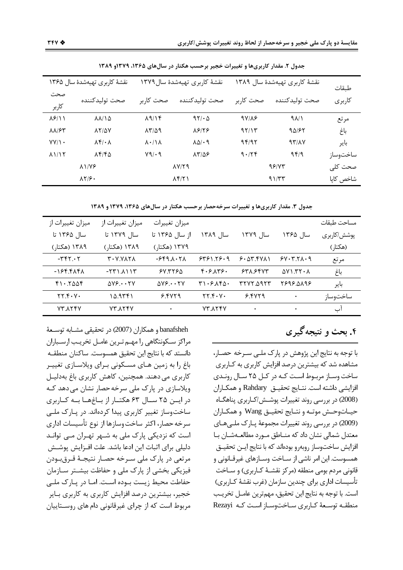| نقشهٔ کاربری تهیهشدهٔ سال ۱۳۶۵ |                           | نقشهٔ کاربری تهیهشدهٔ سال۱۳۷۹    |                                        | نقشهٔ کاربری تهیهشدهٔ سال ۱۳۸۹ |                | طىقات     |
|--------------------------------|---------------------------|----------------------------------|----------------------------------------|--------------------------------|----------------|-----------|
| صحت                            | صحت توليدكننده            | صحت کا,بر                        | صحت توليدكننده                         | صحت کاربر                      | صحت توليدكننده | كاربرى    |
| كاربر                          |                           |                                  |                                        |                                |                |           |
| $\lambda$ ۶/۱۱                 | <b>AA/14</b>              | $\lambda$ 9/14                   | 97/6                                   | 97188                          | $9\lambda/3$   | مرتع      |
| <b>AA/FT</b>                   | <b>AYIAV</b>              | $\lambda \Upsilon/\Delta \theta$ | 18178                                  | 97/15                          | 95162          | باغ       |
| $YY/1$ .                       | $\lambda f/\cdot \lambda$ | $\lambda \cdot / \lambda$        | $\Lambda\Delta/\cdot$ 9                | 94195                          | 95/17          | باير      |
| $\lambda$ )/ $\lambda$ $\tau$  | $\lambda f/f \Delta$      | Y9/29                            | $\lambda \mathbf{Y}/\Delta \mathbf{P}$ | 9.179                          | 949            | ساختوساز  |
|                                | $\lambda$ $\sqrt{9}$      |                                  | $\lambda V/Y$ ۹                        |                                | 98/73          | صحت کلے ٖ |
|                                | $\lambda Y/\mathcal{F}$   |                                  | $\lambda f(Y)$                         |                                | 91/57          | شاخص كايا |

جدول ۲. مقدار کاربریها و تغییرات خجیر برحسب هکتار در سالهای ۱۳۶۵، ۱۳۷۹و ۱۳۸۹

جدول ۳. مقدار کاربریها و تغییرات سرخهحصار برحسب هکتار در سال های ۱۳۶۵، ۱۳۷۹ و ۱۳۸۹

| میزان تغییرات از            | میزان تغییرات از                                          | ميزان تغييرات                     |                |             |                                       | مساحت طبقات   |
|-----------------------------|-----------------------------------------------------------|-----------------------------------|----------------|-------------|---------------------------------------|---------------|
| سال ۱۳۶۵ تا                 | سال ۱۳۷۹ تا                                               | از سال ۱۳۶۵ تا                    | سال ۱۳۸۹       | سال ۱۳۷۹    | سال ۱۳۶۵                              | يوشش /کاربر ي |
| ۱۳۸۹ (هکتار)                | ۱۳۸۹ (هکتار)                                              | ۱۳۷۹ (هکتا,)                      |                |             |                                       | (هکتا, )      |
| $-1.197 -$                  | $Y \cdot Y$ $Y \wedge Y \wedge$                           | $-559A \cdot YA$                  | 5451.75.9      | $9.05$ $8V$ | $5V \cdot Y X \cdot 9$                | مرتع          |
| -164.984-                   | $-551.111$                                                | 5Y.7750                           | ۴۰۶ ۸۳۶۰       | 558.588     | $\Delta V$ $\Delta V$ $\sim$ $\Delta$ | باغ           |
| $f \cdot Y \Delta \Delta f$ | $\Delta V \hat{\bm{\gamma}} \cdot \bm{\cdot} \bm{\tau} V$ | $\Delta V \xi \cdot \cdot \tau V$ | ۳۱۰۶ ۸۴۵۰      | ۳۲۷۲ ۵۹۲۳   | 8818.819                              | باير          |
| $YYY\cdot V$                | ۱۵.۹۳۴۱                                                   | 5.5019                            | YYY.Y.         | 5.5079      | ٠                                     | ساختوساز      |
| <b>VT.ATFV</b>              | <b>VT.ATFV</b>                                            | ٠                                 | <b>VT.ATFV</b> | $\bullet$   | ٠                                     | اب            |

banafsheh و همكاران (2007) در تحقيقي مشـابه توسـعهٔ مراكز سـكونتگاهي را مهـم تـرين عامـل تخريـب ارسـباران دانستد که با نتایج این تحقیق همسوست. ساکنان منطقــه باغ را به زمین هـای مسـکونی بـرای ویلاسـازی تغییـر کاربری می دهند. همچنین، کاهش کاربری باغ بهدلیـل ویلاسازی در پارک ملی سرخه حصار نشان می دهد کـه در ایسن ۲۵ سـال ۶۳ هکتـار از بــاغهــا بــه کــاربری ساختوساز تغییر کاربری پیدا کردهاند. در پارک ملبی سرخه حصار، اکثر ساخت وسازها از نوع تأسیسات اداری است که نزدیکی پارک ملی به شـهر تهـران مـی توانـد دلیلی برای اثبات این ادعا باشد. علت افـزایش پوشــش مرتعي در پارک ملي سـرخه حصـار نتيجـهٔ قـرق بـودن فیزیکی بخشی از پارک ملی و حفاظت بیشـتر سـازمان حفاطت محیط زیست بوده است. امـا در یـارک ملـی خجیر، بیشترین درصد افزایش کاربری به کاربری بـایر مربوط است که از چرای غیرقانونی دام های روســتاییان

# ۴. بحث و نتیجه گیری

با توجه به نتایج این پژوهش در پارک ملـی سـرخه حصـار، مشاهده شد که بیشترین درصد افزایش کاربری به کـاربری ساخت وسـاز مربـوط اسـت كـه در كـل ۲۵ سـال رونـدى افزايشي داشته است. نتـايج تحقيــق Rahdary و همكـاران (2008) در بررسی روند تغییرات پوشـش/کـاربری پناهگـاه حيـاتوحـش موتـه و نتـايج تحقيـق Wang و همكـاران (2009) در بررسی روند تغییرات مجموعهٔ پـارک ملـیهـای معتدل شمالی نشان داد که منــاطق مــورد مطالعــهشــان بــا افزایش ساختوساز روبهرو بودهاند که با نتایج ایــن تحقیــق همسوست. این امر ناشی از ســاخت وســازهای غیرقــانونی و قانونی مردم بومی منطقه (مرکز نقشـهٔ کـاربری) و سـاخت تأسیسات اداری برای چندین سازمان (غرب نقشهٔ کـاربری) است. با توجه به نتايج اين تحقيق، مهمترين عامــل تخريـب منطقـه توسـعة كـاربرى سـاختوسـاز اسـت كـه Rezayi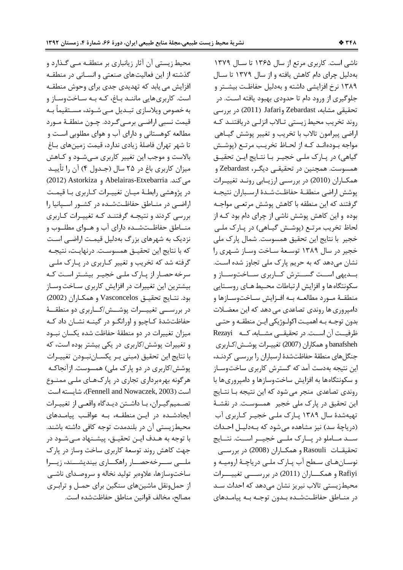محیط زیستی آن آثار زیانباری بر منطقـه مـی گـذارد و گذشته از این فعالیتهای صنعتی و انسـانی در منطقـه افزایش می یابد که تهدیدی جدی برای وحوش منطقـه است. کاربری هایی ماننـد بـاغ، کـه بـه سـاختوسـاز و به خصوص ويلاسازي تبـديل مـي شـوند، مسـتقيماً بـه قيمت نسبي اراضـي برمـي5كـردد. چـون منطقـهٔ مـورد مطالعه کوهستانی و دارای آب و هوای مطلوبی است و تا شهر تهران فاصلهٔ زیادی ندارد، قیمت زمینهای بـاغ بالاست و موجب این تغییر کاربری مهیشود و کاهش میزان کاربری باغ در ۲۵ سال (جـدول ۴) آن را تأییــد می کند. Abelairas-Etxebarria و Astorkiza) Astorkiza در پژوهشی رابطـهٔ میـان تغییـرات کـاربری بـا قیمـت اراضے در منـاطق حفاظـتشـده در کشـور اسـیانیا را بررسی کردند و نتیجـه گرفتنـد کـه تغییـرات کـاربری منــاطق حفاظــتشــده دارای آب و هــوای مطلــوب و نزدیک به شهرهای بزرگ بهدلیل قیمت اراضی است كه با نتايج اين تحقيــق همسوسـت. درنهايـت، نتيجــه گرفته شد که تخریب و تغییر کـاربری در پـارک ملـی سرخه حصار از پارک ملی خجیـر بیشـتر اسـت کـه بیشترین این تغییرات در افزایش کاربری سـاخت وسـاز بود. نتـايج تحقيـق Vasconcelos و همكـاران (2002) در بررســـی تغییـــرات پوشـــش/کـــاربری دو منطقـــهٔ حفاظتشدهٔ کـاچیو و اورانگـو در گینـه نشـان داد کـه میزان تغییرات در دو منطقهٔ حفاظت شده یکسان نبود و تغییرات پوشش/کاربری در یکی بیشتر بوده است، که با نتايج اين تحقيق (مبنى بـر يكسـاننبـودن تغييـرات پوشش/کاربری در دو پارک ملی) همسوست. ازآنجاکه هرگونه بهرهبرداری تجاری در پارکهـای ملـی ممنـوع است (Fennell and Nowaczek, 2003)، شايسته است تصـميم گيـران، بـا داشـتن ديـدگاه واقعـي از تغييـرات ایجادشده در این منطقه، به عواقب پیامدهای محيطزيستي آن در بلندمدت توجه كافي داشته باشند. با توجه به هـدف ايـن تحقيـق، پيشـنهاد مـي شـود در جهت کاهش روند توسعهٔ کاربری ساخت وساز در پارک ملـــی ســـرخهحصـــار راهکـــاری بیندیشـــند، زیـــرا ساختوسازها، علاوەبر تولید نخاله و سروصدای ناشبی از حمل ونقل ماشینهای سنگین برای حمـل و ترابـری مصالح، مخالف قوانين مناطق حفاظتشده است.

ناشی است. کاربری مرتع از سال ۱۳۶۵ تا سال ۱۳۷۹ بهدلیل چرای دام کاهش یافته و از سال ۱۳۷۹ تا سـال ۱۳۸۹ نرخ افزایشی داشته و بهدلیل حفاظت بیشتر و جلوگیری از ورود دام تا حدودی بهبود یافته است. در تحقیقی مشابه، Zebardast وJafari (2011) در بررسی روند تخریب محیط زیستی تـالاب انزلـی دریافتنــد کـه اراضي پيرامون تالاب با تخريب و تغيير پوشش گيـاهي مواجه بـودهانـد كـه از لحـاظ تخريـب مرتـع (يوشـش گیاهی) در پـارک ملـی خجیـر بـا نتـایج ایـن تحقیـق همسوست. همچنین در تحقیقی دیگـر، Zebardast و همکـاران (2010) در بررسـی ارزیـابی رونـد تغییـرات پوشش اراضى منطقـهٔ حفاظـتشـدهٔ ارسـباران نتيجـه گرفتند که این منطقه با کاهش پوشش مرتعبی مواجـه بوده و این کاهش پوشش ناشی از چرای دام بود کـه از لحاظ تخریب مرتـع (پوشـش گیـاهی) در پـارک ملـی خجير با نتايج اين تحقيق همسوست. شمال پارک ملي خجیر در سال ۱۳۸۹ توسـعهٔ سـاخت وسـاز شـهری را نشان می دهد که به حریم یارک ملی تجاوز شده است. بــديهي اســت گســترش كــاربرى ســاختوســاز و سکونتگاه ها و افزایش ارتباطات محـیط هـای روسـتایی منطقــهٔ مــورد مطالعــه بــه افــزايش ســاختوســازها و دامپروری ها روندی تصاعدی می دهد که این معضلات بدون توجـه بـه اهميـت اكولـوژيكي ايـن منطقـه و حتـى ظرفیــت آن اســت. در تحقیقــی مشــابه، کــه Rezayi banafsheh و همكاران (2007) تغييـرات پوشـش/كـاربرى جنگلهای منطقهٔ حفاظتشدهٔ ارسباران را بررسـی کردنـد، این نتیجه بهدست آمد که گسترش کاربری ساختوسـاز و سکونتگاهها به افزایش ساختوسازها و دامپروریها با روندی تصاعدی منجر می شود که این نتیجه بـا نتـایج این تحقیق در پارک ملی خجیر همسوست. در نقشـهٔ تهیهشدهٔ سال ۱۳۸۹ پارک ملبی خجیـر کـاربری آب (دریاچهٔ سد) نیز مشاهده می شود که بـهدلیـل احـداث ســد مــاملو در پــارک ملــی خجیــر اســت. نتــایج تحقيقـات Rasouli و همكـاران (2008) در بررســي نوسـانهـاي سـطح آب يـارک ملـي درياچـۀ اروميـه و Rafiyi و همكساران (2011) در بررسسي تغييسرات محیطزیستی تالاب نیریز نشان میدهد که احداث سـد در منـاطق حفاظـتشـده بـدون توجـه بـه پيامـدهاى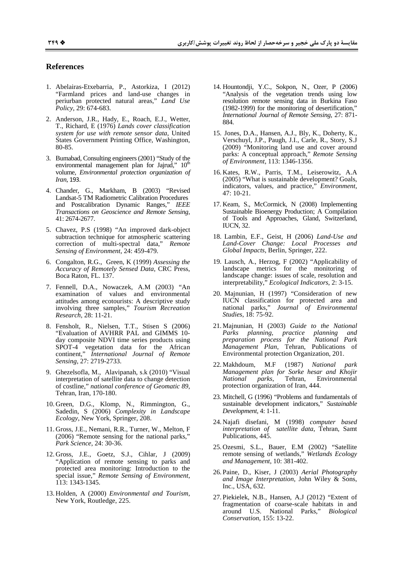#### **References**

- 1. Abelairas-Etxebarria, P., Astorkiza, I (2012)<br>
"Farmland prices and land-use changes in periurban protected natural areas," Land Use Policy, 29: 674-683.
- 2. Anderson, J.R., Hady, E., Roach, E.J., Wetter, T., Richard, E (1976) Lands cover classification system for use with remote sensor data, United States Government Printing Office, Washington, 80-85.
- 3. Bumabad, Consulting engineers (2001) "Study of the environmental management plan for Jajrud," 10<sup>th</sup> volume, Environmental protection organization of *Iran*, 193.
- 4. Chander, G., Markham, B (2003) "Revised Landsat-5 TM Radiometric Calibration Procedures and Postcalibration Dynamic Ranges," IEEE Transactions on Geoscience and Remote Sensing, 41: 2674-2677.
- 5. Chavez, P.S (1998) "An improved dark-object subtraction technique for atmospheric scattering correction of multi-spectral data," Remote Sensing of Environment, 24: 459-479.
- 6. Congalton, R.G., Green, K (1999) Assessing the Accuracy of Remotely Sensed Data, CRC Press, Boca Raton, FL. 137.
- 7. Fennell, D.A., Nowaczek, A.M (2003) "An examination of values and environmental attitudes among ecotourists: A descriptive study involving three samples," Tourism Recreation Research, 28: 11-21.
- 8. Fensholt, R., Nielsen, T.T., Stisen S (2006) "Evaluation of AVHRR PAL and GIMMS 10day composite NDVI time series products using SPOT-4 vegetation data for the African continent," *International Journal of Remote* Sensing, 27: 2719-2733.
- 9. Ghezelsofla, M., Alavipanah, s.k (2010) "Visual interpretation of satellite data to change detection of costline," national conference of Geomatic 89, Tehran, Iran, 170-180.
- 10. Green, D.G., Klomp, N., Rimmington, G., Sadedin, S (2006) Complexity in Landscape Ecology, New York, Springer, 208.
- 11. Gross, J.E., Nemani, R.R., Turner, W., Melton, F (2006) "Remote sensing for the national parks," Park Science, 24: 30-36.
- 12. Gross, J.E., Goetz, S.J., Cihlar, J (2009) "Application of remote sensing to parks and protected area monitoring: Introduction to the special issue," Remote Sensing of Environment, 113: 1343-1345.
- 13. Holden, A (2000) Environmental and Tourism, New York, Routledge, 225.
- 14. Hountondji, Y.C., Sokpon, N., Ozer, P (2006) "Analysis of the vegetation trends using low resolution remote sensing data in Burkina Faso (1982-1999) for the monitoring of desertification," International Journal of Remote Sensing, 27: 871-884.
- 15. Jones, D.A., Hansen, A.J., Bly, K., Doherty, K., Verschuyl, J.P., Paugh, J.I., Carle, R., Story, S.J. (2009) "Monitoring land use and cover around parks: A conceptual approach," Remote Sensing of Environment, 113: 1346-1356.
- 16. Kates, R.W., Parris, T.M., Leiserowitz, A.A. (2005) "What is sustainable development? Goals, indicators, values, and practice," Environment, 47: 10-21.
- 17. Keam, S., McCormick, N (2008) Implementing Sustainable Bioenergy Production; A Compilation of Tools and Approaches, Gland, Switzerland, **IUCN, 32.**
- 18. Lambin, E.F., Geist, H (2006) Land-Use and Land-Cover Change: Local Processes and Global Impacts, Berlin, Springer, 222.
- 19. Lausch, A., Herzog, F (2002) "Applicability of landscape metrics for the monitoring of landscape change: issues of scale, resolution and interpretability," *Ecological Indicators*, 2: 3-15.
- 20. Majnunian, H (1997) "Consideration of new IUCN classification for protected area and<br>national parks," Journal of Environmental Studies, 18: 75-92.
- 21. Majnunian, H (2003) Guide to the National Parks planning, practice planning and preparation process for the National Park<br>Management Plan, Tehran, Publications of Environmental protection Organization, 201.
- 22. Makhdoum, M.F  $(1987)$ National park Management plan for Sorke hesar and Khojir Tehran, National parks, Environmental protection organization of Iran, 444.
- 23. Mitchell, G (1996) "Problems and fundamentals of sustainable development indicators," Sustainable Development,  $4: 1-11$ .
- 24. Najafi disefani, M (1998) computer based interpretation of satellite data, Tehran, Samt Publications, 445.
- 25. Ozesmi, S.L., Bauer, E.M (2002) "Satellite remote sensing of wetlands," Wetlands Ecology and Management, 10: 381-402.
- 26. Paine, D., Kiser, J (2003) Aerial Photography and Image Interpretation, John Wiley & Sons, Inc., USA, 632.
- 27. Piekielek, N.B., Hansen, A.J (2012) "Extent of fragmentation of coarse-scale habitats in and around U.S. National Parks," Biological Conservation, 155: 13-22.